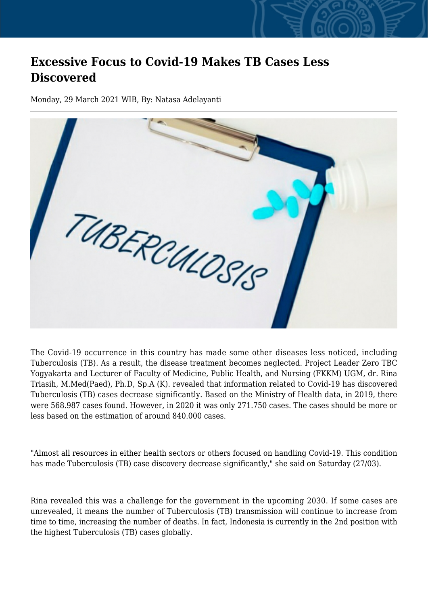## **Excessive Focus to Covid-19 Makes TB Cases Less Discovered**

Monday, 29 March 2021 WIB, By: Natasa Adelayanti



The Covid-19 occurrence in this country has made some other diseases less noticed, including Tuberculosis (TB). As a result, the disease treatment becomes neglected. Project Leader Zero TBC Yogyakarta and Lecturer of Faculty of Medicine, Public Health, and Nursing (FKKM) UGM, dr. Rina Triasih, M.Med(Paed), Ph.D, Sp.A (K). revealed that information related to Covid-19 has discovered Tuberculosis (TB) cases decrease significantly. Based on the Ministry of Health data, in 2019, there were 568.987 cases found. However, in 2020 it was only 271.750 cases. The cases should be more or less based on the estimation of around 840.000 cases.

"Almost all resources in either health sectors or others focused on handling Covid-19. This condition has made Tuberculosis (TB) case discovery decrease significantly," she said on Saturday (27/03).

Rina revealed this was a challenge for the government in the upcoming 2030. If some cases are unrevealed, it means the number of Tuberculosis (TB) transmission will continue to increase from time to time, increasing the number of deaths. In fact, Indonesia is currently in the 2nd position with the highest Tuberculosis (TB) cases globally.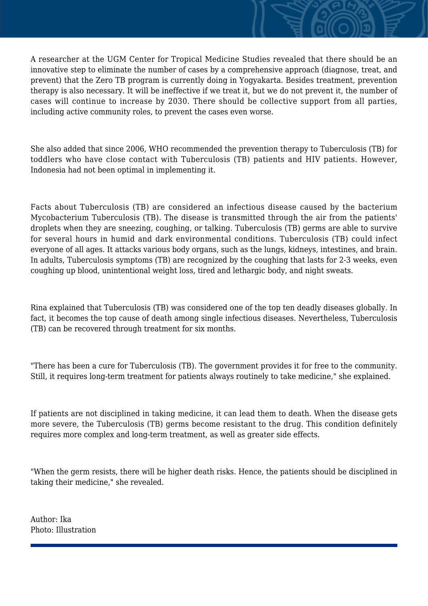A researcher at the UGM Center for Tropical Medicine Studies revealed that there should be an innovative step to eliminate the number of cases by a comprehensive approach (diagnose, treat, and prevent) that the Zero TB program is currently doing in Yogyakarta. Besides treatment, prevention therapy is also necessary. It will be ineffective if we treat it, but we do not prevent it, the number of cases will continue to increase by 2030. There should be collective support from all parties, including active community roles, to prevent the cases even worse.

She also added that since 2006, WHO recommended the prevention therapy to Tuberculosis (TB) for toddlers who have close contact with Tuberculosis (TB) patients and HIV patients. However, Indonesia had not been optimal in implementing it.

Facts about Tuberculosis (TB) are considered an infectious disease caused by the bacterium Mycobacterium Tuberculosis (TB). The disease is transmitted through the air from the patients' droplets when they are sneezing, coughing, or talking. Tuberculosis (TB) germs are able to survive for several hours in humid and dark environmental conditions. Tuberculosis (TB) could infect everyone of all ages. It attacks various body organs, such as the lungs, kidneys, intestines, and brain. In adults, Tuberculosis symptoms (TB) are recognized by the coughing that lasts for 2-3 weeks, even coughing up blood, unintentional weight loss, tired and lethargic body, and night sweats.

Rina explained that Tuberculosis (TB) was considered one of the top ten deadly diseases globally. In fact, it becomes the top cause of death among single infectious diseases. Nevertheless, Tuberculosis (TB) can be recovered through treatment for six months.

"There has been a cure for Tuberculosis (TB). The government provides it for free to the community. Still, it requires long-term treatment for patients always routinely to take medicine," she explained.

If patients are not disciplined in taking medicine, it can lead them to death. When the disease gets more severe, the Tuberculosis (TB) germs become resistant to the drug. This condition definitely requires more complex and long-term treatment, as well as greater side effects.

"When the germ resists, there will be higher death risks. Hence, the patients should be disciplined in taking their medicine," she revealed.

Author: Ika Photo: Illustration